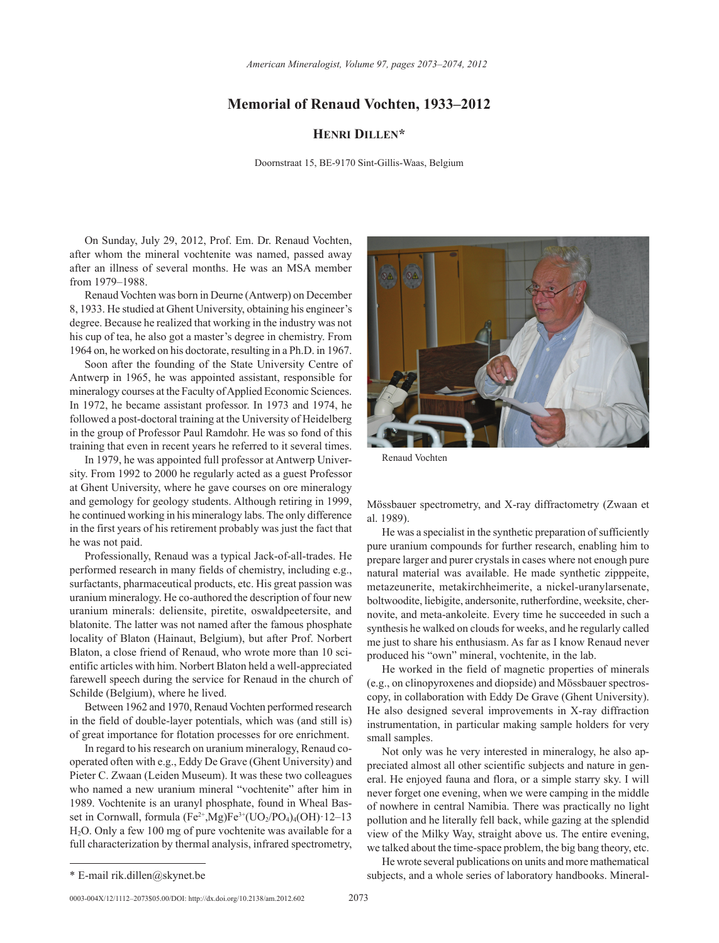## **Memorial of Renaud Vochten, 1933–2012**

## **Henri Dillen\***

Doornstraat 15, BE-9170 Sint-Gillis-Waas, Belgium

On Sunday, July 29, 2012, Prof. Em. Dr. Renaud Vochten, after whom the mineral vochtenite was named, passed away after an illness of several months. He was an MSA member from 1979–1988.

Renaud Vochten was born in Deurne (Antwerp) on December 8, 1933. He studied at Ghent University, obtaining his engineer's degree. Because he realized that working in the industry was not his cup of tea, he also got a master's degree in chemistry. From 1964 on, he worked on his doctorate, resulting in a Ph.D. in 1967.

Soon after the founding of the State University Centre of Antwerp in 1965, he was appointed assistant, responsible for mineralogy courses at the Faculty of Applied Economic Sciences. In 1972, he became assistant professor. In 1973 and 1974, he followed a post-doctoral training at the University of Heidelberg in the group of Professor Paul Ramdohr. He was so fond of this training that even in recent years he referred to it several times.

In 1979, he was appointed full professor at Antwerp University. From 1992 to 2000 he regularly acted as a guest Professor at Ghent University, where he gave courses on ore mineralogy and gemology for geology students. Although retiring in 1999, he continued working in his mineralogy labs. The only difference in the first years of his retirement probably was just the fact that he was not paid.

Professionally, Renaud was a typical Jack-of-all-trades. He performed research in many fields of chemistry, including e.g., surfactants, pharmaceutical products, etc. His great passion was uranium mineralogy. He co-authored the description of four new uranium minerals: deliensite, piretite, oswaldpeetersite, and blatonite. The latter was not named after the famous phosphate locality of Blaton (Hainaut, Belgium), but after Prof. Norbert Blaton, a close friend of Renaud, who wrote more than 10 scientific articles with him. Norbert Blaton held a well-appreciated farewell speech during the service for Renaud in the church of Schilde (Belgium), where he lived.

Between 1962 and 1970, Renaud Vochten performed research in the field of double-layer potentials, which was (and still is) of great importance for flotation processes for ore enrichment.

In regard to his research on uranium mineralogy, Renaud cooperated often with e.g., Eddy De Grave (Ghent University) and Pieter C. Zwaan (Leiden Museum). It was these two colleagues who named a new uranium mineral "vochtenite" after him in 1989. Vochtenite is an uranyl phosphate, found in Wheal Basset in Cornwall, formula  $(Fe^{2+}, Mg)Fe^{3+} (UO_2/PO_4)_4(OH)$  12–13 H2O. Only a few 100 mg of pure vochtenite was available for a full characterization by thermal analysis, infrared spectrometry,



Renaud Vochten

Mössbauer spectrometry, and X-ray diffractometry (Zwaan et al. 1989).

He was a specialist in the synthetic preparation of sufficiently pure uranium compounds for further research, enabling him to prepare larger and purer crystals in cases where not enough pure natural material was available. He made synthetic zipppeite, metazeunerite, metakirchheimerite, a nickel-uranylarsenate, boltwoodite, liebigite, andersonite, rutherfordine, weeksite, chernovite, and meta-ankoleite. Every time he succeeded in such a synthesis he walked on clouds for weeks, and he regularly called me just to share his enthusiasm. As far as I know Renaud never produced his "own" mineral, vochtenite, in the lab.

He worked in the field of magnetic properties of minerals (e.g., on clinopyroxenes and diopside) and Mössbauer spectroscopy, in collaboration with Eddy De Grave (Ghent University). He also designed several improvements in X-ray diffraction instrumentation, in particular making sample holders for very small samples.

Not only was he very interested in mineralogy, he also appreciated almost all other scientific subjects and nature in general. He enjoyed fauna and flora, or a simple starry sky. I will never forget one evening, when we were camping in the middle of nowhere in central Namibia. There was practically no light pollution and he literally fell back, while gazing at the splendid view of the Milky Way, straight above us. The entire evening, we talked about the time-space problem, the big bang theory, etc.

He wrote several publications on units and more mathematical \* E-mail rik.dillen@skynet.be subjects, and a whole series of laboratory handbooks. Mineral-